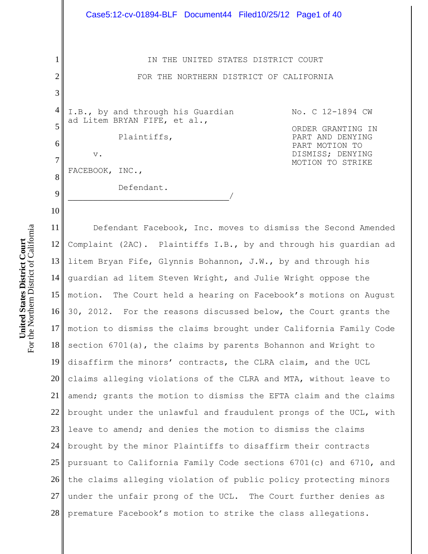1 2 3 4 5 6 7 8 9 10 11 12 IN THE UNITED STATES DISTRICT COURT FOR THE NORTHERN DISTRICT OF CALIFORNIA I.B., by and through his Guardian ad Litem BRYAN FIFE, et al., Plaintiffs, v. FACEBOOK, INC., Defendant.  $\overline{\phantom{a}}$ No. C 12-1894 CW ORDER GRANTING IN PART AND DENYING PART MOTION TO DISMISS; DENYING MOTION TO STRIKE Defendant Facebook, Inc. moves to dismiss the Second Amended Complaint (2AC). Plaintiffs I.B., by and through his guardian ad litem Bryan Fife, Glynnis Bohannon, J.W., by and through his guardian ad litem Steven Wright, and Julie Wright oppose the Case5:12-cv-01894-BLF Document44 Filed10/25/12 Page1 of 40

13 14 15 16 17 18 19 20 21 l 22 23 24 25 26 27 28 motion. The Court held a hearing on Facebook's motions on August 30, 2012. For the reasons discussed below, the Court grants the motion to dismiss the claims brought under California Family Code section 6701(a), the claims by parents Bohannon and Wright to disaffirm the minors' contracts, the CLRA claim, and the UCL claims alleging violations of the CLRA and MTA, without leave to amend; grants the motion to dismiss the EFTA claim and the claims brought under the unlawful and fraudulent prongs of the UCL, with leave to amend; and denies the motion to dismiss the claims brought by the minor Plaintiffs to disaffirm their contracts pursuant to California Family Code sections 6701(c) and 6710, and the claims alleging violation of public policy protecting minors under the unfair prong of the UCL. The Court further denies as premature Facebook's motion to strike the class allegations.

For the Northern District of California For the Northern District of California **United States District Court United States District Court**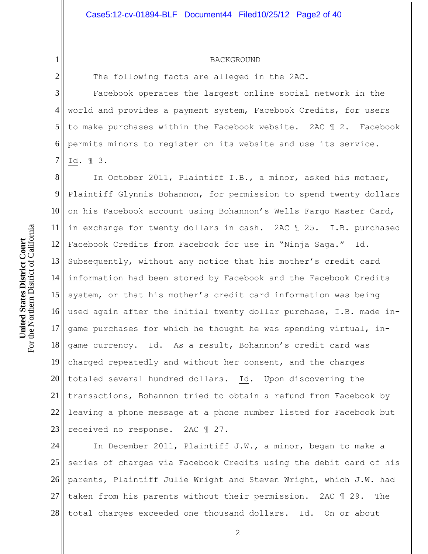#### BACKGROUND

The following facts are alleged in the 2AC.

3 4 5 6 7 Facebook operates the largest online social network in the world and provides a payment system, Facebook Credits, for users to make purchases within the Facebook website. 2AC ¶ 2. Facebook permits minors to register on its website and use its service. Id. ¶ 3.

8 9 10 11 12 13 14 15 16 17 18 19 20 21 22 23 In October 2011, Plaintiff I.B., a minor, asked his mother, Plaintiff Glynnis Bohannon, for permission to spend twenty dollars on his Facebook account using Bohannon's Wells Fargo Master Card, in exchange for twenty dollars in cash. 2AC ¶ 25. I.B. purchased Facebook Credits from Facebook for use in "Ninja Saga." Id. Subsequently, without any notice that his mother's credit card information had been stored by Facebook and the Facebook Credits system, or that his mother's credit card information was being used again after the initial twenty dollar purchase, I.B. made ingame purchases for which he thought he was spending virtual, ingame currency. Id. As a result, Bohannon's credit card was charged repeatedly and without her consent, and the charges totaled several hundred dollars. Id. Upon discovering the transactions, Bohannon tried to obtain a refund from Facebook by leaving a phone message at a phone number listed for Facebook but received no response. 2AC ¶ 27.

24 25 26 27 28 In December 2011, Plaintiff J.W., a minor, began to make a series of charges via Facebook Credits using the debit card of his parents, Plaintiff Julie Wright and Steven Wright, which J.W. had taken from his parents without their permission. 2AC ¶ 29. The total charges exceeded one thousand dollars. Id. On or about

1

2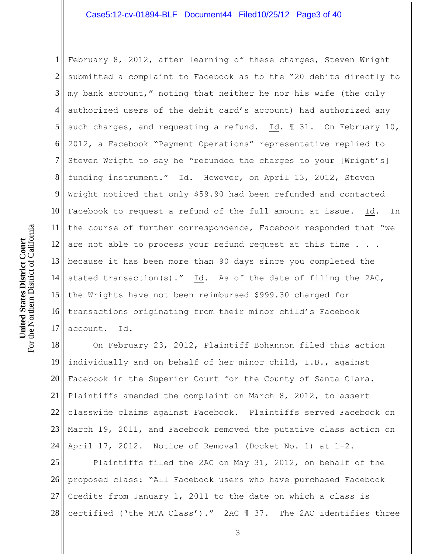## Case5:12-cv-01894-BLF Document44 Filed10/25/12 Page3 of 40

1 2 3 4 5 6 7 8 9 10 11 12 13 because it has been more than 90 days since you completed the  $14<sup>||</sup>$ 15 16 17 February 8, 2012, after learning of these charges, Steven Wright submitted a complaint to Facebook as to the "20 debits directly to my bank account," noting that neither he nor his wife (the only authorized users of the debit card's account) had authorized any such charges, and requesting a refund. Id.  $\text{I}$  31. On February 10, 2012, a Facebook "Payment Operations" representative replied to Steven Wright to say he "refunded the charges to your [Wright's] funding instrument." Id. However, on April 13, 2012, Steven Wright noticed that only \$59.90 had been refunded and contacted Facebook to request a refund of the full amount at issue. Id. In the course of further correspondence, Facebook responded that "we are not able to process your refund request at this time . . . stated transaction(s)." Id. As of the date of filing the 2AC, the Wrights have not been reimbursed \$999.30 charged for transactions originating from their minor child's Facebook account. Id.

18 19 20<sup> $\parallel$ </sup>  $21 \parallel$ 22 23 24 On February 23, 2012, Plaintiff Bohannon filed this action individually and on behalf of her minor child, I.B., against Facebook in the Superior Court for the County of Santa Clara. Plaintiffs amended the complaint on March 8, 2012, to assert classwide claims against Facebook. Plaintiffs served Facebook on March 19, 2011, and Facebook removed the putative class action on April 17, 2012. Notice of Removal (Docket No. 1) at 1-2.

25 26 27 28 Plaintiffs filed the 2AC on May 31, 2012, on behalf of the proposed class: "All Facebook users who have purchased Facebook Credits from January 1, 2011 to the date on which a class is certified ('the MTA Class')." 2AC ¶ 37. The 2AC identifies three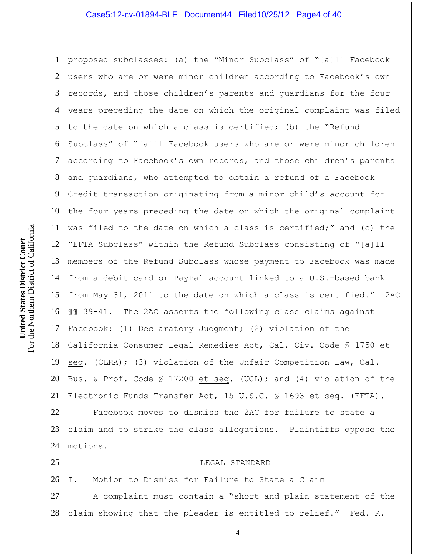1 2 3 4 5 6 7 8 9 10 11 12 13 14 15 16 17 18 19 20 21 22 proposed subclasses: (a) the "Minor Subclass" of "[a]ll Facebook users who are or were minor children according to Facebook's own records, and those children's parents and guardians for the four years preceding the date on which the original complaint was filed to the date on which a class is certified; (b) the "Refund Subclass" of "[a]ll Facebook users who are or were minor children according to Facebook's own records, and those children's parents and guardians, who attempted to obtain a refund of a Facebook Credit transaction originating from a minor child's account for the four years preceding the date on which the original complaint was filed to the date on which a class is certified;" and (c) the "EFTA Subclass" within the Refund Subclass consisting of "[a]ll members of the Refund Subclass whose payment to Facebook was made from a debit card or PayPal account linked to a U.S.-based bank from May 31, 2011 to the date on which a class is certified." 2AC ¶¶ 39-41. The 2AC asserts the following class claims against Facebook: (1) Declaratory Judgment; (2) violation of the California Consumer Legal Remedies Act, Cal. Civ. Code § 1750 et seq. (CLRA); (3) violation of the Unfair Competition Law, Cal. Bus. & Prof. Code § 17200 et seq. (UCL); and (4) violation of the Electronic Funds Transfer Act, 15 U.S.C. § 1693 et seq. (EFTA). Facebook moves to dismiss the 2AC for failure to state a

23 24 claim and to strike the class allegations. Plaintiffs oppose the motions.

25

#### LEGAL STANDARD

26 27 28 I. Motion to Dismiss for Failure to State a Claim A complaint must contain a "short and plain statement of the claim showing that the pleader is entitled to relief." Fed. R.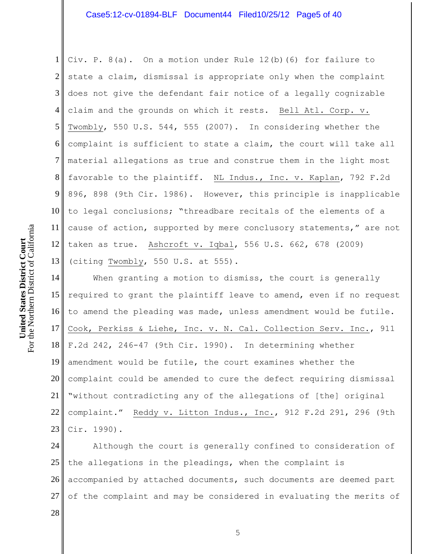1 2 3 4 5 6 7 8 9 10 11 12 13 Civ. P. 8(a). On a motion under Rule 12(b)(6) for failure to state a claim, dismissal is appropriate only when the complaint does not give the defendant fair notice of a legally cognizable claim and the grounds on which it rests. Bell Atl. Corp. v. Twombly, 550 U.S. 544, 555 (2007). In considering whether the complaint is sufficient to state a claim, the court will take all material allegations as true and construe them in the light most favorable to the plaintiff. NL Indus., Inc. v. Kaplan, 792 F.2d 896, 898 (9th Cir. 1986). However, this principle is inapplicable to legal conclusions; "threadbare recitals of the elements of a cause of action, supported by mere conclusory statements," are not taken as true. Ashcroft v. Iqbal, 556 U.S. 662, 678 (2009) (citing Twombly, 550 U.S. at 555).

14 15 16 17 18 19 20 21 22 23 When granting a motion to dismiss, the court is generally required to grant the plaintiff leave to amend, even if no request to amend the pleading was made, unless amendment would be futile. Cook, Perkiss & Liehe, Inc. v. N. Cal. Collection Serv. Inc., 911 F.2d 242, 246-47 (9th Cir. 1990). In determining whether amendment would be futile, the court examines whether the complaint could be amended to cure the defect requiring dismissal "without contradicting any of the allegations of [the] original complaint." Reddy v. Litton Indus., Inc., 912 F.2d 291, 296 (9th Cir. 1990).

24 25 26 27 Although the court is generally confined to consideration of the allegations in the pleadings, when the complaint is accompanied by attached documents, such documents are deemed part of the complaint and may be considered in evaluating the merits of

28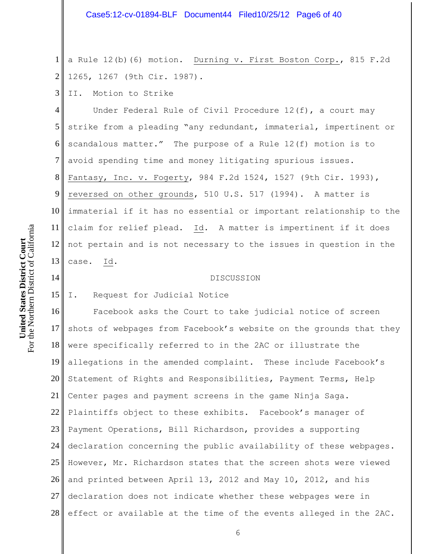1 2 a Rule 12(b)(6) motion. Durning v. First Boston Corp., 815 F.2d 1265, 1267 (9th Cir. 1987).

3 II. Motion to Strike

4 5 6 7 8 9 10 11 12 13 Under Federal Rule of Civil Procedure 12(f), a court may strike from a pleading "any redundant, immaterial, impertinent or scandalous matter." The purpose of a Rule 12(f) motion is to avoid spending time and money litigating spurious issues. Fantasy, Inc. v. Fogerty, 984 F.2d 1524, 1527 (9th Cir. 1993), reversed on other grounds, 510 U.S. 517 (1994). A matter is immaterial if it has no essential or important relationship to the claim for relief plead. Id. A matter is impertinent if it does not pertain and is not necessary to the issues in question in the case. Id.

#### DISCUSSION

15 I. Request for Judicial Notice

16 17 18 19 20 21 22 23 24 25 26 27 28 Facebook asks the Court to take judicial notice of screen shots of webpages from Facebook's website on the grounds that they were specifically referred to in the 2AC or illustrate the allegations in the amended complaint. These include Facebook's Statement of Rights and Responsibilities, Payment Terms, Help Center pages and payment screens in the game Ninja Saga. Plaintiffs object to these exhibits. Facebook's manager of Payment Operations, Bill Richardson, provides a supporting declaration concerning the public availability of these webpages. However, Mr. Richardson states that the screen shots were viewed and printed between April 13, 2012 and May 10, 2012, and his declaration does not indicate whether these webpages were in effect or available at the time of the events alleged in the 2AC.

14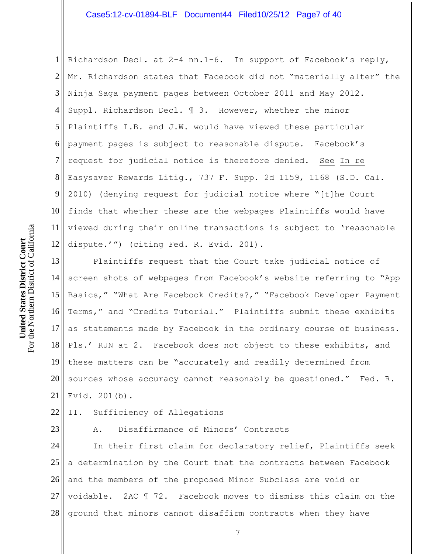1 2 3 4 5 6 7 8 9 10 11 12 Richardson Decl. at 2-4 nn.1-6. In support of Facebook's reply, Mr. Richardson states that Facebook did not "materially alter" the Ninja Saga payment pages between October 2011 and May 2012. Suppl. Richardson Decl. ¶ 3. However, whether the minor Plaintiffs I.B. and J.W. would have viewed these particular payment pages is subject to reasonable dispute. Facebook's request for judicial notice is therefore denied. See In re Easysaver Rewards Litig., 737 F. Supp. 2d 1159, 1168 (S.D. Cal. 2010) (denying request for judicial notice where "[t]he Court finds that whether these are the webpages Plaintiffs would have viewed during their online transactions is subject to 'reasonable dispute.'") (citing Fed. R. Evid. 201).

13 14  $15<sub>II</sub>$ 16 17 18 19 20<sup> $\parallel$ </sup>  $21 \parallel$ Plaintiffs request that the Court take judicial notice of screen shots of webpages from Facebook's website referring to "App Basics," "What Are Facebook Credits?," "Facebook Developer Payment Terms," and "Credits Tutorial." Plaintiffs submit these exhibits as statements made by Facebook in the ordinary course of business. Pls.' RJN at 2. Facebook does not object to these exhibits, and these matters can be "accurately and readily determined from sources whose accuracy cannot reasonably be questioned." Fed. R. Evid. 201(b).

22 II. Sufficiency of Allegations

23

A. Disaffirmance of Minors' Contracts

24  $25 \parallel$ 26 27 28 In their first claim for declaratory relief, Plaintiffs seek a determination by the Court that the contracts between Facebook and the members of the proposed Minor Subclass are void or voidable. 2AC ¶ 72. Facebook moves to dismiss this claim on the ground that minors cannot disaffirm contracts when they have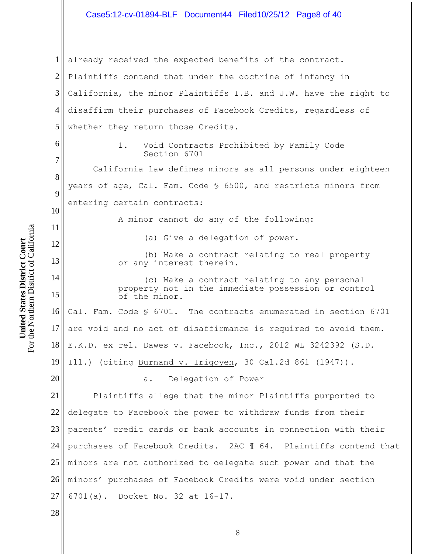1 2 3 4 5 6 7 8 9 10 11 12 13 14 15 16 17 18 19 20 21 22 23 24 25 26 27 28 already received the expected benefits of the contract. Plaintiffs contend that under the doctrine of infancy in California, the minor Plaintiffs I.B. and J.W. have the right to disaffirm their purchases of Facebook Credits, regardless of whether they return those Credits. 1. Void Contracts Prohibited by Family Code Section 6701 California law defines minors as all persons under eighteen years of age, Cal. Fam. Code § 6500, and restricts minors from entering certain contracts: A minor cannot do any of the following: (a) Give a delegation of power. (b) Make a contract relating to real property or any interest therein. (c) Make a contract relating to any personal property not in the immediate possession or control of the minor. Cal. Fam. Code § 6701. The contracts enumerated in section 6701 are void and no act of disaffirmance is required to avoid them. E.K.D. ex rel. Dawes v. Facebook, Inc., 2012 WL 3242392 (S.D. Ill.) (citing Burnand v. Irigoyen, 30 Cal.2d 861 (1947)). a. Delegation of Power Plaintiffs allege that the minor Plaintiffs purported to delegate to Facebook the power to withdraw funds from their parents' credit cards or bank accounts in connection with their purchases of Facebook Credits. 2AC ¶ 64. Plaintiffs contend that minors are not authorized to delegate such power and that the minors' purchases of Facebook Credits were void under section 6701(a). Docket No. 32 at 16-17.

For the Northern District of California For the Northern District of California United States District Court **United States District Court**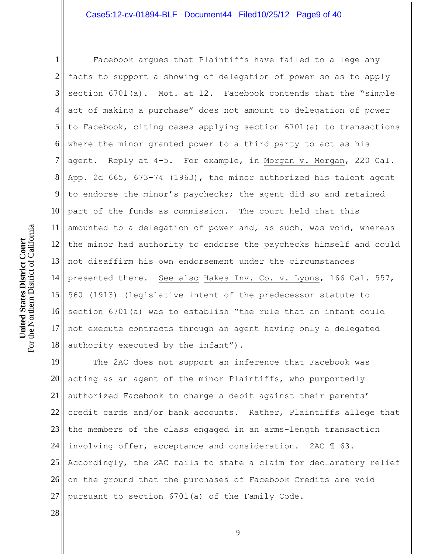1 2 3 4 5 6 7 8 9 10 11 12  $13<sup>||</sup>$ 14 15 16 17 18 Facebook argues that Plaintiffs have failed to allege any facts to support a showing of delegation of power so as to apply section 6701(a). Mot. at 12. Facebook contends that the "simple act of making a purchase" does not amount to delegation of power to Facebook, citing cases applying section 6701(a) to transactions where the minor granted power to a third party to act as his agent. Reply at 4-5. For example, in Morgan v. Morgan, 220 Cal. App. 2d 665, 673-74 (1963), the minor authorized his talent agent to endorse the minor's paychecks; the agent did so and retained part of the funds as commission. The court held that this amounted to a delegation of power and, as such, was void, whereas the minor had authority to endorse the paychecks himself and could not disaffirm his own endorsement under the circumstances presented there. See also Hakes Inv. Co. v. Lyons, 166 Cal. 557, 560 (1913) (legislative intent of the predecessor statute to section 6701(a) was to establish "the rule that an infant could not execute contracts through an agent having only a delegated authority executed by the infant").

19 20 21<sup>|</sup> 22 23 24 25 26 27 The 2AC does not support an inference that Facebook was acting as an agent of the minor Plaintiffs, who purportedly authorized Facebook to charge a debit against their parents' credit cards and/or bank accounts. Rather, Plaintiffs allege that the members of the class engaged in an arms-length transaction involving offer, acceptance and consideration. 2AC ¶ 63. Accordingly, the 2AC fails to state a claim for declaratory relief on the ground that the purchases of Facebook Credits are void pursuant to section 6701(a) of the Family Code.

28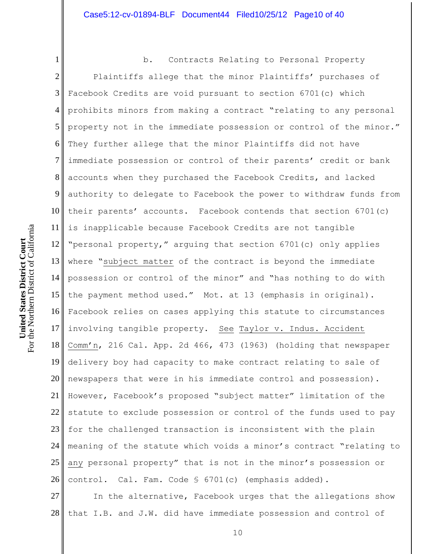1 2 3 4 5 6 7 8 9 10 11 12 13  $14<sup>||</sup>$ 15 16 17 18 19 20<sup> $\parallel$ </sup> 21 l 22 23 24 25 26 b. Contracts Relating to Personal Property Plaintiffs allege that the minor Plaintiffs' purchases of Facebook Credits are void pursuant to section 6701(c) which prohibits minors from making a contract "relating to any personal property not in the immediate possession or control of the minor." They further allege that the minor Plaintiffs did not have immediate possession or control of their parents' credit or bank accounts when they purchased the Facebook Credits, and lacked authority to delegate to Facebook the power to withdraw funds from their parents' accounts. Facebook contends that section 6701(c) is inapplicable because Facebook Credits are not tangible "personal property," arguing that section 6701(c) only applies where "subject matter of the contract is beyond the immediate possession or control of the minor" and "has nothing to do with the payment method used." Mot. at 13 (emphasis in original). Facebook relies on cases applying this statute to circumstances involving tangible property. See Taylor v. Indus. Accident Comm'n, 216 Cal. App. 2d 466, 473 (1963) (holding that newspaper delivery boy had capacity to make contract relating to sale of newspapers that were in his immediate control and possession). However, Facebook's proposed "subject matter" limitation of the statute to exclude possession or control of the funds used to pay for the challenged transaction is inconsistent with the plain meaning of the statute which voids a minor's contract "relating to any personal property" that is not in the minor's possession or control. Cal. Fam. Code § 6701(c) (emphasis added).

27 28 In the alternative, Facebook urges that the allegations show that I.B. and J.W. did have immediate possession and control of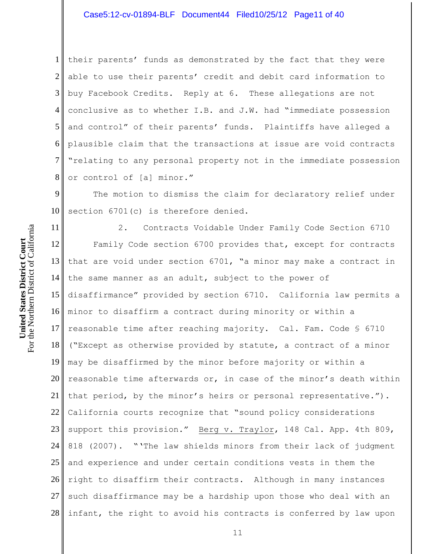1 2 3 4 5 6 7 8 their parents' funds as demonstrated by the fact that they were able to use their parents' credit and debit card information to buy Facebook Credits. Reply at 6. These allegations are not conclusive as to whether I.B. and J.W. had "immediate possession and control" of their parents' funds. Plaintiffs have alleged a plausible claim that the transactions at issue are void contracts "relating to any personal property not in the immediate possession or control of [a] minor."

9 10 The motion to dismiss the claim for declaratory relief under section 6701(c) is therefore denied.

11 12 13 that are void under section 6701, "a minor may make a contract in 14 15 16 17 18 19 20<sup> $\parallel$ </sup> 21 l 22 23 24 25 26 27 28 2. Contracts Voidable Under Family Code Section 6710 Family Code section 6700 provides that, except for contracts the same manner as an adult, subject to the power of disaffirmance" provided by section 6710. California law permits a minor to disaffirm a contract during minority or within a reasonable time after reaching majority. Cal. Fam. Code § 6710 ("Except as otherwise provided by statute, a contract of a minor may be disaffirmed by the minor before majority or within a reasonable time afterwards or, in case of the minor's death within that period, by the minor's heirs or personal representative."). California courts recognize that "sound policy considerations support this provision." Berg v. Traylor, 148 Cal. App. 4th 809, 818 (2007). "'The law shields minors from their lack of judgment and experience and under certain conditions vests in them the right to disaffirm their contracts. Although in many instances such disaffirmance may be a hardship upon those who deal with an infant, the right to avoid his contracts is conferred by law upon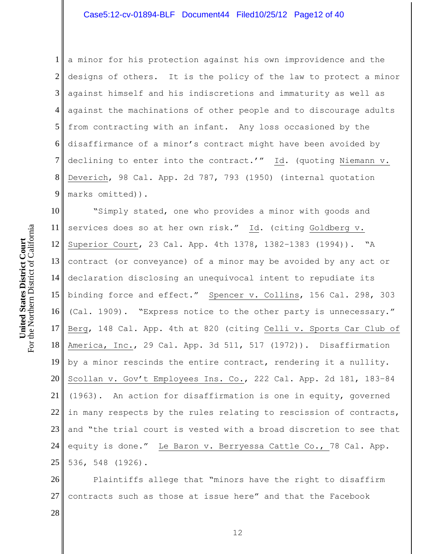1 2 3 4 5 6 7 8 9 a minor for his protection against his own improvidence and the designs of others. It is the policy of the law to protect a minor against himself and his indiscretions and immaturity as well as against the machinations of other people and to discourage adults from contracting with an infant. Any loss occasioned by the disaffirmance of a minor's contract might have been avoided by declining to enter into the contract.'" Id. (quoting Niemann v. Deverich, 98 Cal. App. 2d 787, 793 (1950) (internal quotation marks omitted)).

10 11 12 13  $14<sup>||</sup>$  $15 \text{ }$ 16 17 18 19 20 21 22 23 24 25 "Simply stated, one who provides a minor with goods and services does so at her own risk." Id. (citing Goldberg v. Superior Court, 23 Cal. App. 4th 1378, 1382–1383 (1994)). "A contract (or conveyance) of a minor may be avoided by any act or declaration disclosing an unequivocal intent to repudiate its binding force and effect." Spencer v. Collins, 156 Cal. 298, 303 (Cal. 1909). "Express notice to the other party is unnecessary." Berg, 148 Cal. App. 4th at 820 (citing Celli v. Sports Car Club of America, Inc., 29 Cal. App. 3d 511, 517 (1972)). Disaffirmation by a minor rescinds the entire contract, rendering it a nullity. Scollan v. Gov't Employees Ins. Co., 222 Cal. App. 2d 181, 183–84 (1963). An action for disaffirmation is one in equity, governed in many respects by the rules relating to rescission of contracts, and "the trial court is vested with a broad discretion to see that equity is done." Le Baron v. Berryessa Cattle Co., 78 Cal. App. 536, 548 (1926).

26 27 Plaintiffs allege that "minors have the right to disaffirm contracts such as those at issue here" and that the Facebook

For the Northern District of California For the Northern District of California United States District Court **United States District Court**

28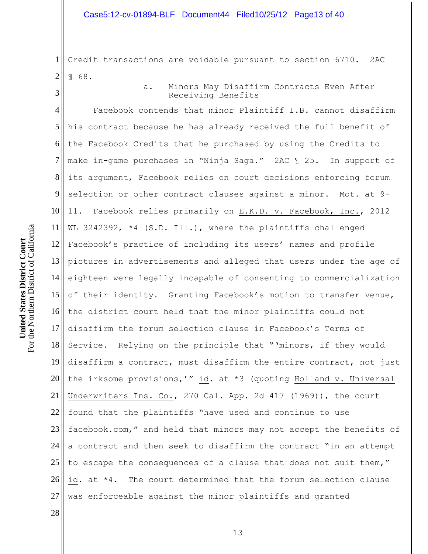1 2 Credit transactions are voidable pursuant to section 6710. 2AC ¶ 68.

a. Minors May Disaffirm Contracts Even After

4 5 6 7 8 9 10 11 12 13 14 15 16 17 18 19 20 21 22 23 24 25 26 27 Receiving Benefits Facebook contends that minor Plaintiff I.B. cannot disaffirm his contract because he has already received the full benefit of the Facebook Credits that he purchased by using the Credits to make in-game purchases in "Ninja Saga." 2AC ¶ 25. In support of its argument, Facebook relies on court decisions enforcing forum selection or other contract clauses against a minor. Mot. at 9- 11. Facebook relies primarily on E.K.D. v. Facebook, Inc., 2012 WL 3242392, \*4 (S.D. Ill.), where the plaintiffs challenged Facebook's practice of including its users' names and profile pictures in advertisements and alleged that users under the age of eighteen were legally incapable of consenting to commercialization of their identity. Granting Facebook's motion to transfer venue, the district court held that the minor plaintiffs could not disaffirm the forum selection clause in Facebook's Terms of Service. Relying on the principle that "'minors, if they would disaffirm a contract, must disaffirm the entire contract, not just the irksome provisions,'" id. at \*3 (quoting Holland v. Universal Underwriters Ins. Co., 270 Cal. App. 2d 417 (1969)), the court found that the plaintiffs "have used and continue to use facebook.com," and held that minors may not accept the benefits of a contract and then seek to disaffirm the contract "in an attempt to escape the consequences of a clause that does not suit them," id. at \*4. The court determined that the forum selection clause was enforceable against the minor plaintiffs and granted

28

3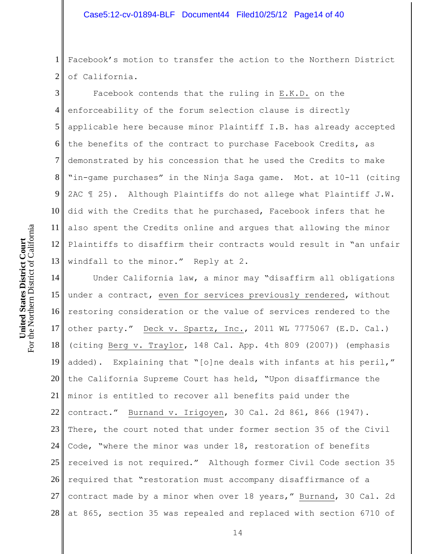1 2 Facebook's motion to transfer the action to the Northern District of California.

3 4 5 6 7 8 9 10 11 12  $13<sup>||</sup>$ Facebook contends that the ruling in E.K.D. on the enforceability of the forum selection clause is directly applicable here because minor Plaintiff I.B. has already accepted the benefits of the contract to purchase Facebook Credits, as demonstrated by his concession that he used the Credits to make "in-game purchases" in the Ninja Saga game. Mot. at 10-11 (citing 2AC ¶ 25). Although Plaintiffs do not allege what Plaintiff J.W. did with the Credits that he purchased, Facebook infers that he also spent the Credits online and argues that allowing the minor Plaintiffs to disaffirm their contracts would result in "an unfair windfall to the minor." Reply at 2.

14 15 16 17 18 19 20<sup> $\parallel$ </sup>  $21 \parallel$ 22 23 24 25 26 27 28 Under California law, a minor may "disaffirm all obligations under a contract, even for services previously rendered, without restoring consideration or the value of services rendered to the other party." Deck v. Spartz, Inc., 2011 WL 7775067 (E.D. Cal.) (citing Berg v. Traylor, 148 Cal. App. 4th 809 (2007)) (emphasis added). Explaining that "[o]ne deals with infants at his peril," the California Supreme Court has held, "Upon disaffirmance the minor is entitled to recover all benefits paid under the contract." Burnand v. Irigoyen, 30 Cal. 2d 861, 866 (1947). There, the court noted that under former section 35 of the Civil Code, "where the minor was under 18, restoration of benefits received is not required." Although former Civil Code section 35 required that "restoration must accompany disaffirmance of a contract made by a minor when over 18 years," Burnand, 30 Cal. 2d at 865, section 35 was repealed and replaced with section 6710 of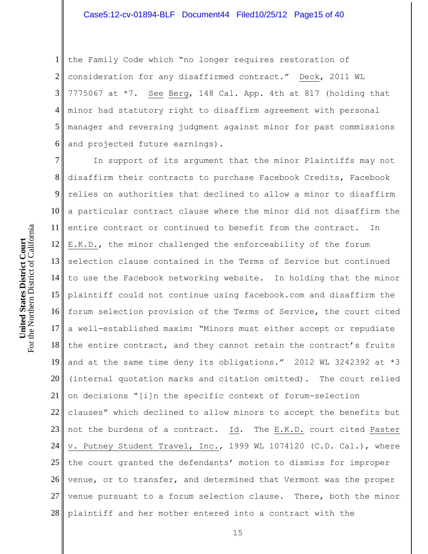1 2 3 4 5 6 the Family Code which "no longer requires restoration of consideration for any disaffirmed contract." Deck, 2011 WL 7775067 at \*7. See Berg, 148 Cal. App. 4th at 817 (holding that minor had statutory right to disaffirm agreement with personal manager and reversing judgment against minor for past commissions and projected future earnings).

7 8 9 10 11 12 13 selection clause contained in the Terms of Service but continued 14 to use the Facebook networking website. In holding that the minor 15 16 17 18 19 20  $21 \parallel$ 22 23 24 25 26 27 28 In support of its argument that the minor Plaintiffs may not disaffirm their contracts to purchase Facebook Credits, Facebook relies on authorities that declined to allow a minor to disaffirm a particular contract clause where the minor did not disaffirm the entire contract or continued to benefit from the contract. In E.K.D., the minor challenged the enforceability of the forum plaintiff could not continue using facebook.com and disaffirm the forum selection provision of the Terms of Service, the court cited a well-established maxim: "Minors must either accept or repudiate the entire contract, and they cannot retain the contract's fruits and at the same time deny its obligations." 2012 WL 3242392 at \*3 (internal quotation marks and citation omitted). The court relied on decisions "[i]n the specific context of forum-selection clauses" which declined to allow minors to accept the benefits but not the burdens of a contract. Id. The E.K.D. court cited Paster v. Putney Student Travel, Inc., 1999 WL 1074120 (C.D. Cal.), where the court granted the defendants' motion to dismiss for improper venue, or to transfer, and determined that Vermont was the proper venue pursuant to a forum selection clause. There, both the minor plaintiff and her mother entered into a contract with the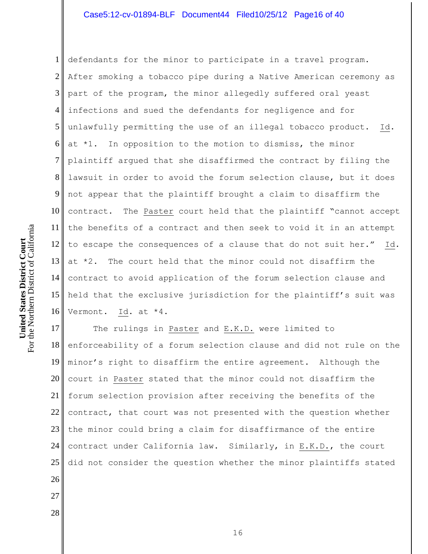1 2 3 4 5 6 7 8 9 10 11 12 13 14 15 16 defendants for the minor to participate in a travel program. After smoking a tobacco pipe during a Native American ceremony as part of the program, the minor allegedly suffered oral yeast infections and sued the defendants for negligence and for unlawfully permitting the use of an illegal tobacco product. Id. at \*1. In opposition to the motion to dismiss, the minor plaintiff argued that she disaffirmed the contract by filing the lawsuit in order to avoid the forum selection clause, but it does not appear that the plaintiff brought a claim to disaffirm the contract. The Paster court held that the plaintiff "cannot accept the benefits of a contract and then seek to void it in an attempt to escape the consequences of a clause that do not suit her." Id. at \*2. The court held that the minor could not disaffirm the contract to avoid application of the forum selection clause and held that the exclusive jurisdiction for the plaintiff's suit was Vermont. Id. at \*4.

17 18 19 20 21 22 23 24 25 26 The rulings in Paster and E.K.D. were limited to enforceability of a forum selection clause and did not rule on the minor's right to disaffirm the entire agreement. Although the court in Paster stated that the minor could not disaffirm the forum selection provision after receiving the benefits of the contract, that court was not presented with the question whether the minor could bring a claim for disaffirmance of the entire contract under California law. Similarly, in E.K.D., the court did not consider the question whether the minor plaintiffs stated

For the Northern District of California For the Northern District of California United States District Court **United States District Court**

27

28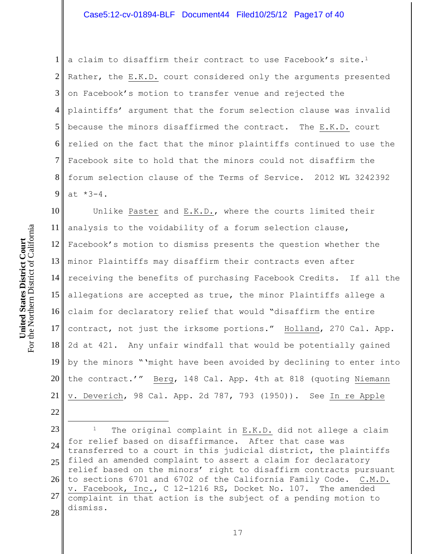1 2 3 4 5 6  $7<sub>l</sub>$ 8 9 a claim to disaffirm their contract to use Facebook's site.<sup>1</sup> Rather, the E.K.D. court considered only the arguments presented on Facebook's motion to transfer venue and rejected the plaintiffs' argument that the forum selection clause was invalid because the minors disaffirmed the contract. The E.K.D. court relied on the fact that the minor plaintiffs continued to use the Facebook site to hold that the minors could not disaffirm the forum selection clause of the Terms of Service. 2012 WL 3242392 at \*3-4.

10 11  $12<sub>1</sub>$ 13 minor Plaintiffs may disaffirm their contracts even after  $14<sub>II</sub>$ 15 16 17 18 19 20 21 Unlike Paster and E.K.D., where the courts limited their analysis to the voidability of a forum selection clause, Facebook's motion to dismiss presents the question whether the receiving the benefits of purchasing Facebook Credits. If all the allegations are accepted as true, the minor Plaintiffs allege a claim for declaratory relief that would "disaffirm the entire contract, not just the irksome portions." Holland, 270 Cal. App. 2d at 421. Any unfair windfall that would be potentially gained by the minors "'might have been avoided by declining to enter into the contract.'" Berg, 148 Cal. App. 4th at 818 (quoting Niemann v. Deverich, 98 Cal. App. 2d 787, 793 (1950)). See In re Apple

23 24 25 26 27 28 <sup>1</sup> The original complaint in E.K.D. did not allege a claim for relief based on disaffirmance. After that case was transferred to a court in this judicial district, the plaintiffs filed an amended complaint to assert a claim for declaratory relief based on the minors' right to disaffirm contracts pursuant to sections 6701 and 6702 of the California Family Code. C.M.D. v. Facebook, Inc., C 12-1216 RS, Docket No. 107. The amended complaint in that action is the subject of a pending motion to dismiss.

22

 $\overline{a}$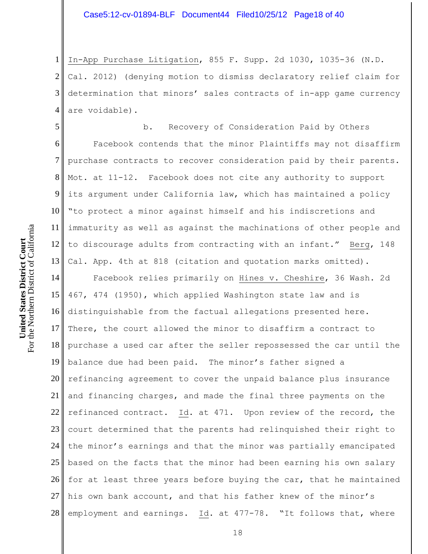1 2 3 4 In-App Purchase Litigation, 855 F. Supp. 2d 1030, 1035-36 (N.D. Cal. 2012) (denying motion to dismiss declaratory relief claim for determination that minors' sales contracts of in-app game currency are voidable).

5 6 7 8 9 10 11 12 13 b. Recovery of Consideration Paid by Others Facebook contends that the minor Plaintiffs may not disaffirm purchase contracts to recover consideration paid by their parents. Mot. at 11-12. Facebook does not cite any authority to support its argument under California law, which has maintained a policy "to protect a minor against himself and his indiscretions and immaturity as well as against the machinations of other people and to discourage adults from contracting with an infant." Berg, 148 Cal. App. 4th at 818 (citation and quotation marks omitted).

14 15 16 17 18 19 20 21<sup>|</sup> 22 23 24 25 26 27 28 Facebook relies primarily on Hines v. Cheshire, 36 Wash. 2d 467, 474 (1950), which applied Washington state law and is distinguishable from the factual allegations presented here. There, the court allowed the minor to disaffirm a contract to purchase a used car after the seller repossessed the car until the balance due had been paid. The minor's father signed a refinancing agreement to cover the unpaid balance plus insurance and financing charges, and made the final three payments on the refinanced contract. Id. at 471. Upon review of the record, the court determined that the parents had relinquished their right to the minor's earnings and that the minor was partially emancipated based on the facts that the minor had been earning his own salary for at least three years before buying the car, that he maintained his own bank account, and that his father knew of the minor's employment and earnings. Id. at 477-78. "It follows that, where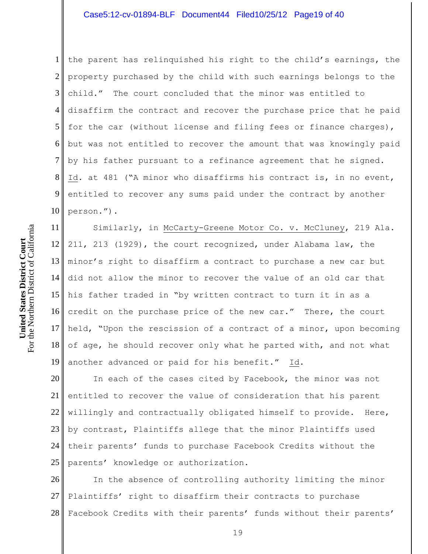1 2 3 4 5 6 7 8 9 10 the parent has relinquished his right to the child's earnings, the property purchased by the child with such earnings belongs to the child." The court concluded that the minor was entitled to disaffirm the contract and recover the purchase price that he paid for the car (without license and filing fees or finance charges), but was not entitled to recover the amount that was knowingly paid by his father pursuant to a refinance agreement that he signed. Id. at 481 ("A minor who disaffirms his contract is, in no event, entitled to recover any sums paid under the contract by another person.").

11 12  $13<sup>||</sup>$ 14 15 16 17 18 19 Similarly, in McCarty-Greene Motor Co. v. McCluney, 219 Ala. 211, 213 (1929), the court recognized, under Alabama law, the minor's right to disaffirm a contract to purchase a new car but did not allow the minor to recover the value of an old car that his father traded in "by written contract to turn it in as a credit on the purchase price of the new car." There, the court held, "Upon the rescission of a contract of a minor, upon becoming of age, he should recover only what he parted with, and not what another advanced or paid for his benefit." Id.

20 21<sup>|</sup> 22<sup>|</sup> 23 24 25 In each of the cases cited by Facebook, the minor was not entitled to recover the value of consideration that his parent willingly and contractually obligated himself to provide. Here, by contrast, Plaintiffs allege that the minor Plaintiffs used their parents' funds to purchase Facebook Credits without the parents' knowledge or authorization.

26 27 28 In the absence of controlling authority limiting the minor Plaintiffs' right to disaffirm their contracts to purchase Facebook Credits with their parents' funds without their parents'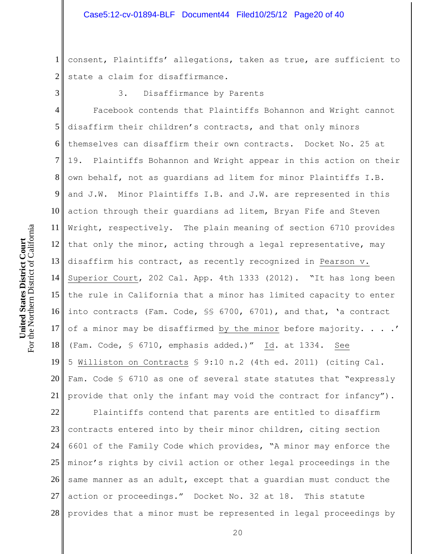1 2 consent, Plaintiffs' allegations, taken as true, are sufficient to state a claim for disaffirmance.

3

3. Disaffirmance by Parents

4 5 6 7 8 9 10 11 12  $13<sup>||</sup>$ 14 15 16 17 18 19 20 21 l Facebook contends that Plaintiffs Bohannon and Wright cannot disaffirm their children's contracts, and that only minors themselves can disaffirm their own contracts. Docket No. 25 at 19. Plaintiffs Bohannon and Wright appear in this action on their own behalf, not as guardians ad litem for minor Plaintiffs I.B. and J.W. Minor Plaintiffs I.B. and J.W. are represented in this action through their guardians ad litem, Bryan Fife and Steven Wright, respectively. The plain meaning of section 6710 provides that only the minor, acting through a legal representative, may disaffirm his contract, as recently recognized in Pearson v. Superior Court, 202 Cal. App. 4th 1333 (2012). "It has long been the rule in California that a minor has limited capacity to enter into contracts (Fam. Code, §§ 6700, 6701), and that, 'a contract of a minor may be disaffirmed by the minor before majority. . . .' (Fam. Code, § 6710, emphasis added.)" Id. at 1334. See 5 Williston on Contracts § 9:10 n.2 (4th ed. 2011) (citing Cal. Fam. Code § 6710 as one of several state statutes that "expressly provide that only the infant may void the contract for infancy").

22 23 24 25 26 27 28 Plaintiffs contend that parents are entitled to disaffirm contracts entered into by their minor children, citing section 6601 of the Family Code which provides, "A minor may enforce the minor's rights by civil action or other legal proceedings in the same manner as an adult, except that a guardian must conduct the action or proceedings." Docket No. 32 at 18. This statute provides that a minor must be represented in legal proceedings by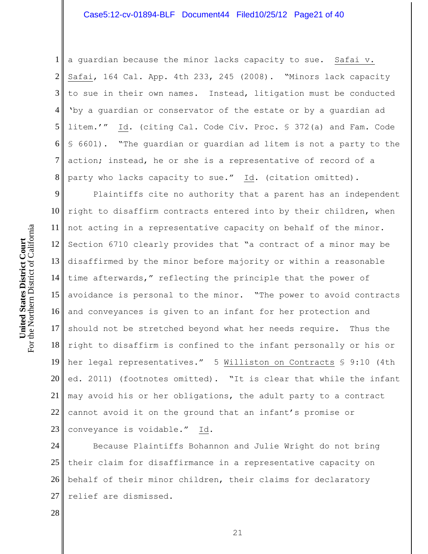1 2 3 4 5 6 7 8 a guardian because the minor lacks capacity to sue. Safai v. Safai, 164 Cal. App. 4th 233, 245 (2008). "Minors lack capacity to sue in their own names. Instead, litigation must be conducted 'by a guardian or conservator of the estate or by a guardian ad litem.'" Id. (citing Cal. Code Civ. Proc. § 372(a) and Fam. Code § 6601). "The guardian or guardian ad litem is not a party to the action; instead, he or she is a representative of record of a party who lacks capacity to sue." Id. (citation omitted).

9 10 11 12  $13<sup>||</sup>$ 14 time afterwards," reflecting the principle that the power of 15 16 17 18 19 20<sup> $\parallel$ </sup>  $21 \parallel$ 22 23 Plaintiffs cite no authority that a parent has an independent right to disaffirm contracts entered into by their children, when not acting in a representative capacity on behalf of the minor. Section 6710 clearly provides that "a contract of a minor may be disaffirmed by the minor before majority or within a reasonable avoidance is personal to the minor. "The power to avoid contracts and conveyances is given to an infant for her protection and should not be stretched beyond what her needs require. Thus the right to disaffirm is confined to the infant personally or his or her legal representatives." 5 Williston on Contracts § 9:10 (4th ed. 2011) (footnotes omitted). "It is clear that while the infant may avoid his or her obligations, the adult party to a contract cannot avoid it on the ground that an infant's promise or conveyance is voidable." Id.

24 25 26 27 Because Plaintiffs Bohannon and Julie Wright do not bring their claim for disaffirmance in a representative capacity on behalf of their minor children, their claims for declaratory relief are dismissed.

28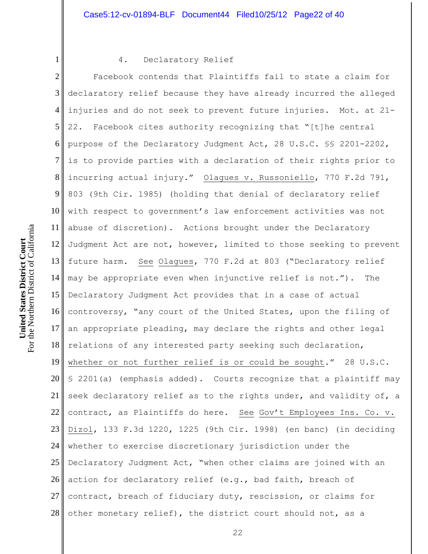For the Northern District of California For the Northern District of California United States District Court **United States District Court**

1

## 4. Declaratory Relief

2 3 4 5 6 7 8 9 10 11 12 13 14 15 16 17 18 19 20 21<sup>|</sup> 22 23 24 25 26 27 28 Facebook contends that Plaintiffs fail to state a claim for declaratory relief because they have already incurred the alleged injuries and do not seek to prevent future injuries. Mot. at 21- 22. Facebook cites authority recognizing that "[t]he central purpose of the Declaratory Judgment Act, 28 U.S.C. §§ 2201-2202, is to provide parties with a declaration of their rights prior to incurring actual injury." Olagues v. Russoniello, 770 F.2d 791, 803 (9th Cir. 1985) (holding that denial of declaratory relief with respect to government's law enforcement activities was not abuse of discretion). Actions brought under the Declaratory Judgment Act are not, however, limited to those seeking to prevent future harm. See Olagues, 770 F.2d at 803 ("Declaratory relief may be appropriate even when injunctive relief is not."). The Declaratory Judgment Act provides that in a case of actual controversy, "any court of the United States, upon the filing of an appropriate pleading, may declare the rights and other legal relations of any interested party seeking such declaration, whether or not further relief is or could be sought." 28 U.S.C. § 2201(a) (emphasis added). Courts recognize that a plaintiff may seek declaratory relief as to the rights under, and validity of, a contract, as Plaintiffs do here. See Gov't Employees Ins. Co. v. Dizol, 133 F.3d 1220, 1225 (9th Cir. 1998) (en banc) (in deciding whether to exercise discretionary jurisdiction under the Declaratory Judgment Act, "when other claims are joined with an action for declaratory relief (e.g., bad faith, breach of contract, breach of fiduciary duty, rescission, or claims for other monetary relief), the district court should not, as a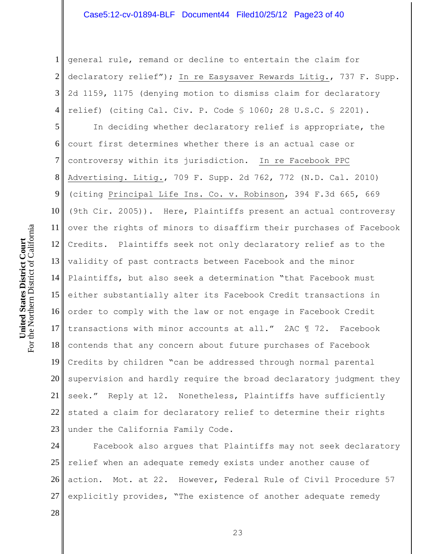## Case5:12-cv-01894-BLF Document44 Filed10/25/12 Page23 of 40

1 2 3 4 general rule, remand or decline to entertain the claim for declaratory relief"); In re Easysaver Rewards Litig., 737 F. Supp. 2d 1159, 1175 (denying motion to dismiss claim for declaratory relief) (citing Cal. Civ. P. Code § 1060; 28 U.S.C. § 2201).

5 6 7 8 9 10 11 12 13  $14<sup>||</sup>$ 15 16 17 18 19 20 21 22 23 In deciding whether declaratory relief is appropriate, the court first determines whether there is an actual case or controversy within its jurisdiction. In re Facebook PPC Advertising. Litig., 709 F. Supp. 2d 762, 772 (N.D. Cal. 2010) (citing Principal Life Ins. Co. v. Robinson, 394 F.3d 665, 669 (9th Cir. 2005)). Here, Plaintiffs present an actual controversy over the rights of minors to disaffirm their purchases of Facebook Credits. Plaintiffs seek not only declaratory relief as to the validity of past contracts between Facebook and the minor Plaintiffs, but also seek a determination "that Facebook must either substantially alter its Facebook Credit transactions in order to comply with the law or not engage in Facebook Credit transactions with minor accounts at all." 2AC ¶ 72. Facebook contends that any concern about future purchases of Facebook Credits by children "can be addressed through normal parental supervision and hardly require the broad declaratory judgment they seek." Reply at 12. Nonetheless, Plaintiffs have sufficiently stated a claim for declaratory relief to determine their rights under the California Family Code.

24 25 26 27 Facebook also argues that Plaintiffs may not seek declaratory relief when an adequate remedy exists under another cause of action. Mot. at 22. However, Federal Rule of Civil Procedure 57 explicitly provides, "The existence of another adequate remedy

28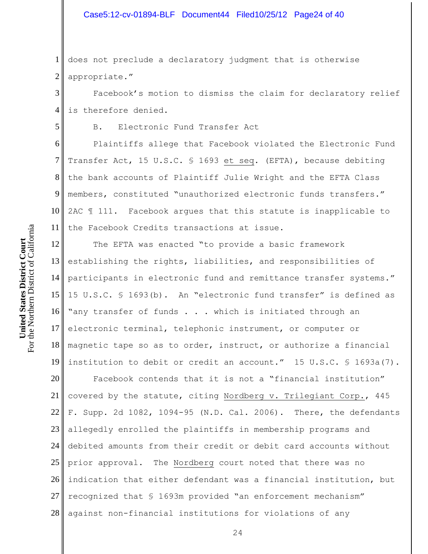#### Case5:12-cv-01894-BLF Document44 Filed10/25/12 Page24 of 40

1 2 does not preclude a declaratory judgment that is otherwise appropriate."

3 4 Facebook's motion to dismiss the claim for declaratory relief is therefore denied.

B. Electronic Fund Transfer Act

6 7 8 9 10 11 Plaintiffs allege that Facebook violated the Electronic Fund Transfer Act, 15 U.S.C. § 1693 et seq. (EFTA), because debiting the bank accounts of Plaintiff Julie Wright and the EFTA Class members, constituted "unauthorized electronic funds transfers." 2AC ¶ 111. Facebook argues that this statute is inapplicable to the Facebook Credits transactions at issue.

12  $13<sup>||</sup>$  $14<sup>||</sup>$ 15 16 17 18 19 The EFTA was enacted "to provide a basic framework establishing the rights, liabilities, and responsibilities of participants in electronic fund and remittance transfer systems." 15 U.S.C. § 1693(b). An "electronic fund transfer" is defined as "any transfer of funds . . . which is initiated through an electronic terminal, telephonic instrument, or computer or magnetic tape so as to order, instruct, or authorize a financial institution to debit or credit an account." 15 U.S.C. § 1693a(7).

20 21 22 23 24 25 26 27 28 Facebook contends that it is not a "financial institution" covered by the statute, citing Nordberg v. Trilegiant Corp., 445 F. Supp. 2d 1082, 1094-95 (N.D. Cal. 2006). There, the defendants allegedly enrolled the plaintiffs in membership programs and debited amounts from their credit or debit card accounts without prior approval. The Nordberg court noted that there was no indication that either defendant was a financial institution, but recognized that § 1693m provided "an enforcement mechanism" against non-financial institutions for violations of any

5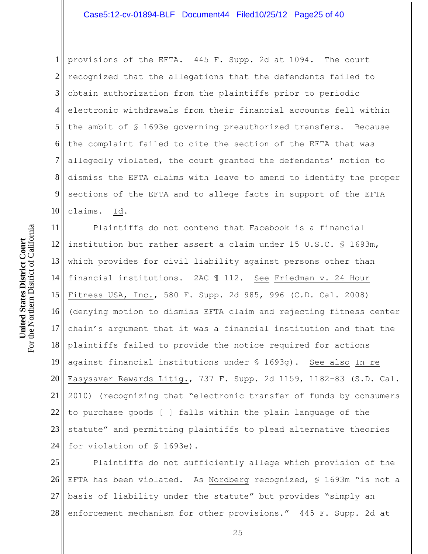1 2 3 4 5 6 7 8 9 10 provisions of the EFTA. 445 F. Supp. 2d at 1094. The court recognized that the allegations that the defendants failed to obtain authorization from the plaintiffs prior to periodic electronic withdrawals from their financial accounts fell within the ambit of § 1693e governing preauthorized transfers. Because the complaint failed to cite the section of the EFTA that was allegedly violated, the court granted the defendants' motion to dismiss the EFTA claims with leave to amend to identify the proper sections of the EFTA and to allege facts in support of the EFTA claims. Id.

11 12  $13<sup>||</sup>$ 14 15 16 17 18 19 20 21 22 23 24 Plaintiffs do not contend that Facebook is a financial institution but rather assert a claim under 15 U.S.C. § 1693m, which provides for civil liability against persons other than financial institutions. 2AC ¶ 112. See Friedman v. 24 Hour Fitness USA, Inc., 580 F. Supp. 2d 985, 996 (C.D. Cal. 2008) (denying motion to dismiss EFTA claim and rejecting fitness center chain's argument that it was a financial institution and that the plaintiffs failed to provide the notice required for actions against financial institutions under § 1693g). See also In re Easysaver Rewards Litig., 737 F. Supp. 2d 1159, 1182-83 (S.D. Cal. 2010) (recognizing that "electronic transfer of funds by consumers to purchase goods [ ] falls within the plain language of the statute" and permitting plaintiffs to plead alternative theories for violation of § 1693e).

25 26 27 28 Plaintiffs do not sufficiently allege which provision of the EFTA has been violated. As Nordberg recognized, § 1693m "is not a basis of liability under the statute" but provides "simply an enforcement mechanism for other provisions." 445 F. Supp. 2d at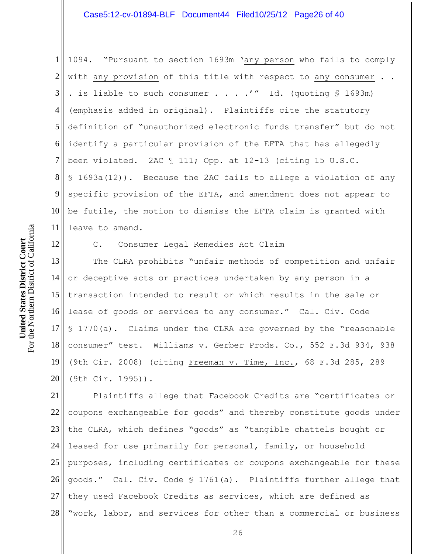1 2 3 4 5 6 7 8 9 10 11 1094. "Pursuant to section 1693m 'any person who fails to comply with any provision of this title with respect to any consumer . . . is liable to such consumer . . . .'" Id. (quoting \$ 1693m) (emphasis added in original). Plaintiffs cite the statutory definition of "unauthorized electronic funds transfer" but do not identify a particular provision of the EFTA that has allegedly been violated. 2AC ¶ 111; Opp. at 12-13 (citing 15 U.S.C. § 1693a(12)). Because the 2AC fails to allege a violation of any specific provision of the EFTA, and amendment does not appear to be futile, the motion to dismiss the EFTA claim is granted with leave to amend.

12 13 14 15 16 17 18 19 20 C. Consumer Legal Remedies Act Claim The CLRA prohibits "unfair methods of competition and unfair or deceptive acts or practices undertaken by any person in a transaction intended to result or which results in the sale or lease of goods or services to any consumer." Cal. Civ. Code § 1770(a). Claims under the CLRA are governed by the "reasonable consumer" test. Williams v. Gerber Prods. Co., 552 F.3d 934, 938 (9th Cir. 2008) (citing Freeman v. Time, Inc., 68 F.3d 285, 289 (9th Cir. 1995)).

21 22 23 24 25 26 27 28 Plaintiffs allege that Facebook Credits are "certificates or coupons exchangeable for goods" and thereby constitute goods under the CLRA, which defines "goods" as "tangible chattels bought or leased for use primarily for personal, family, or household purposes, including certificates or coupons exchangeable for these goods." Cal. Civ. Code § 1761(a). Plaintiffs further allege that they used Facebook Credits as services, which are defined as "work, labor, and services for other than a commercial or business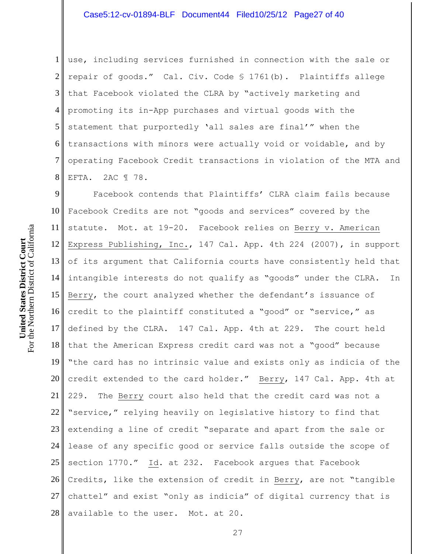1 2 3 4 5 6 7 8 use, including services furnished in connection with the sale or repair of goods." Cal. Civ. Code § 1761(b). Plaintiffs allege that Facebook violated the CLRA by "actively marketing and promoting its in-App purchases and virtual goods with the statement that purportedly 'all sales are final'" when the transactions with minors were actually void or voidable, and by operating Facebook Credit transactions in violation of the MTA and EFTA. 2AC ¶ 78.

9 10 11 12  $13<sup>||</sup>$ 14 15 16 17 18 19 20 21 22 23 24 25 26 27 28 Facebook contends that Plaintiffs' CLRA claim fails because Facebook Credits are not "goods and services" covered by the statute. Mot. at 19-20. Facebook relies on Berry v. American Express Publishing, Inc., 147 Cal. App. 4th 224 (2007), in support of its argument that California courts have consistently held that intangible interests do not qualify as "goods" under the CLRA. In Berry, the court analyzed whether the defendant's issuance of credit to the plaintiff constituted a "good" or "service," as defined by the CLRA. 147 Cal. App. 4th at 229. The court held that the American Express credit card was not a "good" because "the card has no intrinsic value and exists only as indicia of the credit extended to the card holder." Berry, 147 Cal. App. 4th at 229. The Berry court also held that the credit card was not a "service," relying heavily on legislative history to find that extending a line of credit "separate and apart from the sale or lease of any specific good or service falls outside the scope of section 1770." Id. at 232. Facebook argues that Facebook Credits, like the extension of credit in Berry, are not "tangible chattel" and exist "only as indicia" of digital currency that is available to the user. Mot. at 20.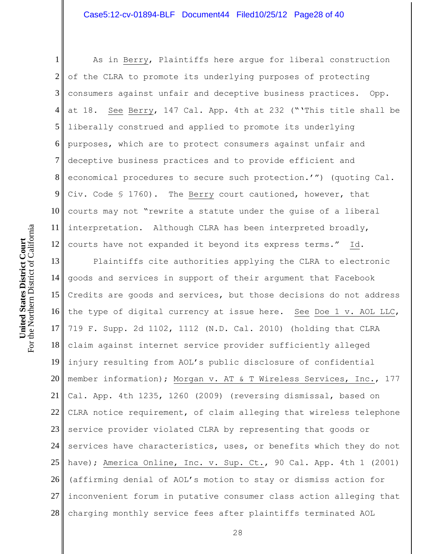1 2 3 4 5 6 7 8 9 10 11 12 As in Berry, Plaintiffs here argue for liberal construction of the CLRA to promote its underlying purposes of protecting consumers against unfair and deceptive business practices. Opp. at 18. See Berry, 147 Cal. App. 4th at 232 ("'This title shall be liberally construed and applied to promote its underlying purposes, which are to protect consumers against unfair and deceptive business practices and to provide efficient and economical procedures to secure such protection.'") (quoting Cal. Civ. Code § 1760). The Berry court cautioned, however, that courts may not "rewrite a statute under the guise of a liberal interpretation. Although CLRA has been interpreted broadly, courts have not expanded it beyond its express terms." Id.

13 14 15 16 17 18 19 20<sup> $\parallel$ </sup> 21<sup>|</sup> 22 23 24 25 26 27 28 Plaintiffs cite authorities applying the CLRA to electronic goods and services in support of their argument that Facebook Credits are goods and services, but those decisions do not address the type of digital currency at issue here. See Doe 1 v. AOL LLC, 719 F. Supp. 2d 1102, 1112 (N.D. Cal. 2010) (holding that CLRA claim against internet service provider sufficiently alleged injury resulting from AOL's public disclosure of confidential member information); Morgan v. AT & T Wireless Services, Inc., 177 Cal. App. 4th 1235, 1260 (2009) (reversing dismissal, based on CLRA notice requirement, of claim alleging that wireless telephone service provider violated CLRA by representing that goods or services have characteristics, uses, or benefits which they do not have); America Online, Inc. v. Sup. Ct., 90 Cal. App. 4th 1 (2001) (affirming denial of AOL's motion to stay or dismiss action for inconvenient forum in putative consumer class action alleging that charging monthly service fees after plaintiffs terminated AOL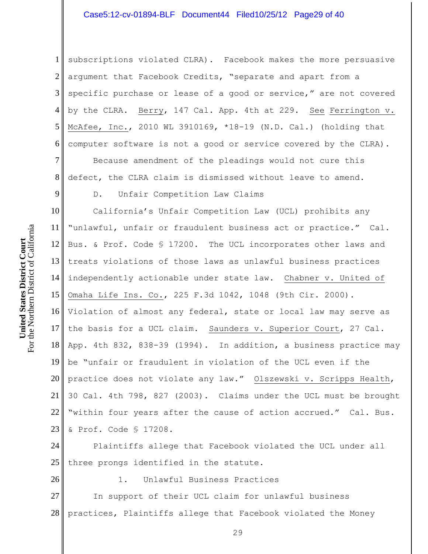1 2 3 4 5 6 subscriptions violated CLRA). Facebook makes the more persuasive argument that Facebook Credits, "separate and apart from a specific purchase or lease of a good or service," are not covered by the CLRA. Berry, 147 Cal. App. 4th at 229. See Ferrington v. McAfee, Inc., 2010 WL 3910169, \*18-19 (N.D. Cal.) (holding that computer software is not a good or service covered by the CLRA).

7 8 Because amendment of the pleadings would not cure this defect, the CLRA claim is dismissed without leave to amend.

D. Unfair Competition Law Claims

10 11 12  $13<sup>||</sup>$ 14 15 16 17 18 19 20 21 22 23 California's Unfair Competition Law (UCL) prohibits any "unlawful, unfair or fraudulent business act or practice." Cal. Bus. & Prof. Code § 17200. The UCL incorporates other laws and treats violations of those laws as unlawful business practices independently actionable under state law. Chabner v. United of Omaha Life Ins. Co., 225 F.3d 1042, 1048 (9th Cir. 2000). Violation of almost any federal, state or local law may serve as the basis for a UCL claim. Saunders v. Superior Court, 27 Cal. App. 4th 832, 838-39 (1994). In addition, a business practice may be "unfair or fraudulent in violation of the UCL even if the practice does not violate any law." Olszewski v. Scripps Health, 30 Cal. 4th 798, 827 (2003). Claims under the UCL must be brought "within four years after the cause of action accrued." Cal. Bus. & Prof. Code § 17208.

24 25 Plaintiffs allege that Facebook violated the UCL under all three prongs identified in the statute.

26

1. Unlawful Business Practices

27 28 In support of their UCL claim for unlawful business practices, Plaintiffs allege that Facebook violated the Money

For the Northern District of California For the Northern District of California United States District Court **United States District Court**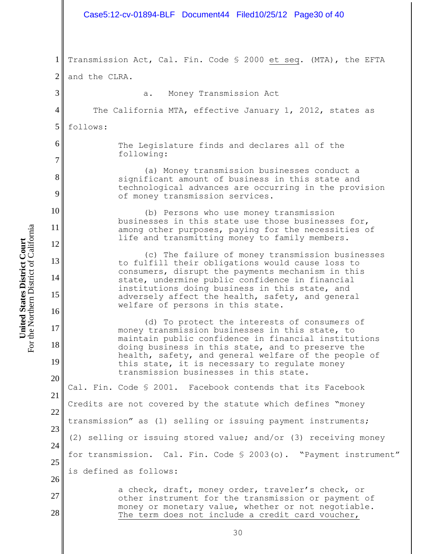|                                                            | Case5:12-cv-01894-BLF Document44 Filed10/25/12 Page30 of 40                                                                                                                                                                                                                                                                                                     |
|------------------------------------------------------------|-----------------------------------------------------------------------------------------------------------------------------------------------------------------------------------------------------------------------------------------------------------------------------------------------------------------------------------------------------------------|
| $\mathbf{1}$<br>$\overline{2}$<br>3<br>$\overline{4}$<br>5 | Transmission Act, Cal. Fin. Code \$ 2000 et seq. (MTA), the EFTA<br>and the CLRA.<br>a. Money Transmission Act<br>The California MTA, effective January 1, 2012, states as<br>follows:                                                                                                                                                                          |
| 6<br>$\tau$                                                | The Legislature finds and declares all of the<br>following:                                                                                                                                                                                                                                                                                                     |
| 8<br>9                                                     | (a) Money transmission businesses conduct a<br>significant amount of business in this state and<br>technological advances are occurring in the provision<br>of money transmission services.                                                                                                                                                                     |
| 10<br>11<br>12                                             | (b) Persons who use money transmission<br>businesses in this state use those businesses for,<br>among other purposes, paying for the necessities of<br>life and transmitting money to family members.                                                                                                                                                           |
| 13<br>14<br>15<br>16                                       | (c) The failure of money transmission businesses<br>to fulfill their obligations would cause loss to<br>consumers, disrupt the payments mechanism in this<br>state, undermine public confidence in financial<br>institutions doing business in this state, and<br>adversely affect the health, safety, and general<br>welfare of persons in this state.         |
| 17<br>18<br>19                                             | (d) To protect the interests of consumers of<br>money transmission businesses in this state, to<br>maintain public confidence in financial institutions<br>doing business in this state, and to preserve the<br>health, safety, and general welfare of the people of<br>this state, it is necessary to regulate money<br>transmission businesses in this state. |
| 20<br>21<br>22                                             | Cal. Fin. Code § 2001. Facebook contends that its Facebook<br>Credits are not covered by the statute which defines "money                                                                                                                                                                                                                                       |
| 23<br>24                                                   | transmission" as (1) selling or issuing payment instruments;<br>(2) selling or issuing stored value; and/or (3) receiving money                                                                                                                                                                                                                                 |
| 25<br>26                                                   | for transmission. Cal. Fin. Code § 2003(o). "Payment instrument"<br>is defined as follows:                                                                                                                                                                                                                                                                      |
| 27<br>28                                                   | a check, draft, money order, traveler's check, or<br>other instrument for the transmission or payment of<br>money or monetary value, whether or not negotiable.<br>The term does not include a credit card voucher,                                                                                                                                             |
|                                                            | 30                                                                                                                                                                                                                                                                                                                                                              |

**United States District Court**<br>For the Northern District of California For the Northern District of California **United States District Court**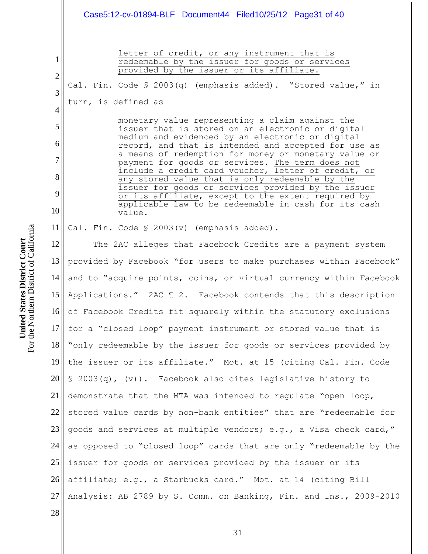# Case5:12-cv-01894-BLF Document44 Filed10/25/12 Page31 of 40

2 3 4

5

6

7

8

9

10

28

1

letter of credit, or any instrument that is redeemable by the issuer for goods or services provided by the issuer or its affiliate.

Cal. Fin. Code § 2003(q) (emphasis added). "Stored value," in turn, is defined as

> monetary value representing a claim against the issuer that is stored on an electronic or digital medium and evidenced by an electronic or digital record, and that is intended and accepted for use as a means of redemption for money or monetary value or payment for goods or services. The term does not include a credit card voucher, letter of credit, or any stored value that is only redeemable by the issuer for goods or services provided by the issuer or its affiliate, except to the extent required by applicable law to be redeemable in cash for its cash value.

11 Cal. Fin. Code § 2003(v) (emphasis added).

12 13 provided by Facebook "for users to make purchases within Facebook"  $14<sup>||</sup>$ 15 16 17 18 19 20 21<sup>|</sup> 22 23 24 25 26 27 The 2AC alleges that Facebook Credits are a payment system and to "acquire points, coins, or virtual currency within Facebook Applications." 2AC ¶ 2. Facebook contends that this description of Facebook Credits fit squarely within the statutory exclusions for a "closed loop" payment instrument or stored value that is "only redeemable by the issuer for goods or services provided by the issuer or its affiliate." Mot. at 15 (citing Cal. Fin. Code § 2003(q), (v)). Facebook also cites legislative history to demonstrate that the MTA was intended to regulate "open loop, stored value cards by non-bank entities" that are "redeemable for goods and services at multiple vendors; e.g., a Visa check card," as opposed to "closed loop" cards that are only "redeemable by the issuer for goods or services provided by the issuer or its affiliate; e.g., a Starbucks card." Mot. at 14 (citing Bill Analysis: AB 2789 by S. Comm. on Banking, Fin. and Ins., 2009-2010

For the Northern District of California For the Northern District of California United States District Court **United States District Court**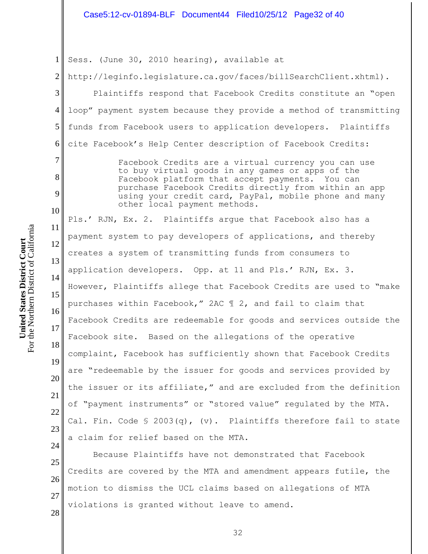# Case5:12-cv-01894-BLF Document44 Filed10/25/12 Page32 of 40

1 Sess. (June 30, 2010 hearing), available at

2 http://leginfo.legislature.ca.gov/faces/billSearchClient.xhtml).

Plaintiffs respond that Facebook Credits constitute an "open loop" payment system because they provide a method of transmitting funds from Facebook users to application developers. Plaintiffs cite Facebook's Help Center description of Facebook Credits:

> Facebook Credits are a virtual currency you can use to buy virtual goods in any games or apps of the Facebook platform that accept payments. You can purchase Facebook Credits directly from within an app using your credit card, PayPal, mobile phone and many other local payment methods.

11 12 13 14 15 16 17 18 19 20 21 22 23 Pls.' RJN, Ex. 2. Plaintiffs argue that Facebook also has a payment system to pay developers of applications, and thereby creates a system of transmitting funds from consumers to application developers. Opp. at 11 and Pls.' RJN, Ex. 3. However, Plaintiffs allege that Facebook Credits are used to "make purchases within Facebook," 2AC ¶ 2, and fail to claim that Facebook Credits are redeemable for goods and services outside the Facebook site. Based on the allegations of the operative complaint, Facebook has sufficiently shown that Facebook Credits are "redeemable by the issuer for goods and services provided by the issuer or its affiliate," and are excluded from the definition of "payment instruments" or "stored value" regulated by the MTA. Cal. Fin. Code  $\{5\ 2003(q), (v)\}$ . Plaintiffs therefore fail to state a claim for relief based on the MTA.

25 26 27 28 Because Plaintiffs have not demonstrated that Facebook Credits are covered by the MTA and amendment appears futile, the motion to dismiss the UCL claims based on allegations of MTA violations is granted without leave to amend.

3

4

5

6

7

8

9

10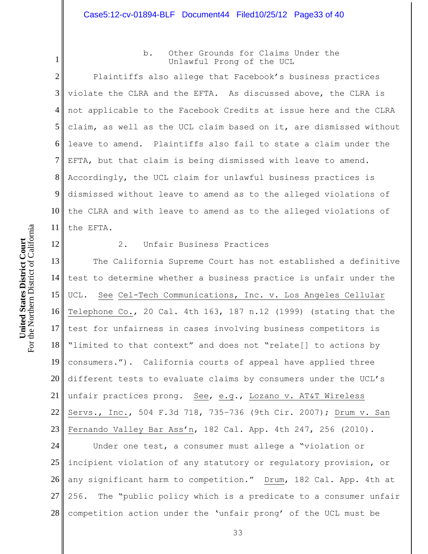b. Other Grounds for Claims Under the Unlawful Prong of the UCL

2 3 4 5 6 7 8 9 10 11 Plaintiffs also allege that Facebook's business practices violate the CLRA and the EFTA. As discussed above, the CLRA is not applicable to the Facebook Credits at issue here and the CLRA claim, as well as the UCL claim based on it, are dismissed without leave to amend. Plaintiffs also fail to state a claim under the EFTA, but that claim is being dismissed with leave to amend. Accordingly, the UCL claim for unlawful business practices is dismissed without leave to amend as to the alleged violations of the CLRA and with leave to amend as to the alleged violations of the EFTA.

For the Northern District of California

12

1

**United States District Court**

For the Northern District of California United States District Court

## 2. Unfair Business Practices

13 14 15 16 17 18 19 20 21 22 23 The California Supreme Court has not established a definitive test to determine whether a business practice is unfair under the UCL. See Cel-Tech Communications, Inc. v. Los Angeles Cellular Telephone Co., 20 Cal. 4th 163, 187 n.12 (1999) (stating that the test for unfairness in cases involving business competitors is "limited to that context" and does not "relate[] to actions by consumers."). California courts of appeal have applied three different tests to evaluate claims by consumers under the UCL's unfair practices prong. See, e.g., Lozano v. AT&T Wireless Servs., Inc., 504 F.3d 718, 735–736 (9th Cir. 2007); Drum v. San Fernando Valley Bar Ass'n, 182 Cal. App. 4th 247, 256 (2010).

24 25 26 27 28 Under one test, a consumer must allege a "violation or incipient violation of any statutory or regulatory provision, or any significant harm to competition." Drum, 182 Cal. App. 4th at 256. The "public policy which is a predicate to a consumer unfair competition action under the 'unfair prong' of the UCL must be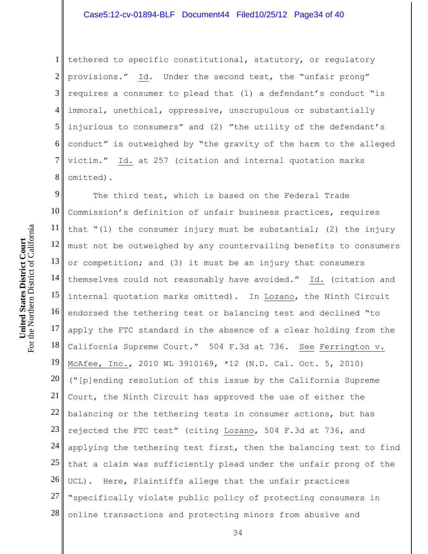1 2 3 4 5 6  $7<sub>l</sub>$ 8 tethered to specific constitutional, statutory, or regulatory provisions." Id. Under the second test, the "unfair prong" requires a consumer to plead that (1) a defendant's conduct "is immoral, unethical, oppressive, unscrupulous or substantially injurious to consumers" and (2) "the utility of the defendant's conduct" is outweighed by "the gravity of the harm to the alleged victim." Id. at 257 (citation and internal quotation marks omitted).

9 10 11 12 13 14 15 16 17 18 19 20 21 22 23 24 25 26 27 28 The third test, which is based on the Federal Trade Commission's definition of unfair business practices, requires that "(1) the consumer injury must be substantial; (2) the injury must not be outweighed by any countervailing benefits to consumers or competition; and (3) it must be an injury that consumers themselves could not reasonably have avoided." Id. (citation and internal quotation marks omitted). In Lozano, the Ninth Circuit endorsed the tethering test or balancing test and declined "to apply the FTC standard in the absence of a clear holding from the California Supreme Court." 504 F.3d at 736. See Ferrington v. McAfee, Inc., 2010 WL 3910169, \*12 (N.D. Cal. Oct. 5, 2010) ("[p]ending resolution of this issue by the California Supreme Court, the Ninth Circuit has approved the use of either the balancing or the tethering tests in consumer actions, but has rejected the FTC test" (citing Lozano, 504 F.3d at 736, and applying the tethering test first, then the balancing test to find that a claim was sufficiently plead under the unfair prong of the UCL). Here, Plaintiffs allege that the unfair practices "specifically violate public policy of protecting consumers in online transactions and protecting minors from abusive and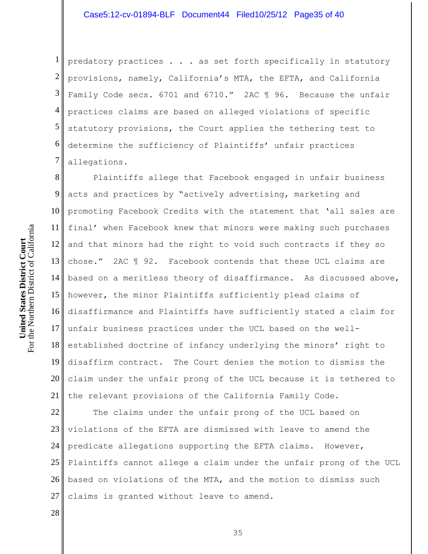1 2 3 4 5 6 7 predatory practices . . . as set forth specifically in statutory provisions, namely, California's MTA, the EFTA, and California Family Code secs. 6701 and 6710." 2AC ¶ 96. Because the unfair practices claims are based on alleged violations of specific statutory provisions, the Court applies the tethering test to determine the sufficiency of Plaintiffs' unfair practices allegations.

8 9 10 11 12 13  $14<sup>||</sup>$ 15 16 17 18 19 20 21 Plaintiffs allege that Facebook engaged in unfair business acts and practices by "actively advertising, marketing and promoting Facebook Credits with the statement that 'all sales are final' when Facebook knew that minors were making such purchases and that minors had the right to void such contracts if they so chose." 2AC ¶ 92. Facebook contends that these UCL claims are based on a meritless theory of disaffirmance. As discussed above, however, the minor Plaintiffs sufficiently plead claims of disaffirmance and Plaintiffs have sufficiently stated a claim for unfair business practices under the UCL based on the wellestablished doctrine of infancy underlying the minors' right to disaffirm contract. The Court denies the motion to dismiss the claim under the unfair prong of the UCL because it is tethered to the relevant provisions of the California Family Code.

22 23 24 25 26 27 The claims under the unfair prong of the UCL based on violations of the EFTA are dismissed with leave to amend the predicate allegations supporting the EFTA claims. However, Plaintiffs cannot allege a claim under the unfair prong of the UCL based on violations of the MTA, and the motion to dismiss such claims is granted without leave to amend.

28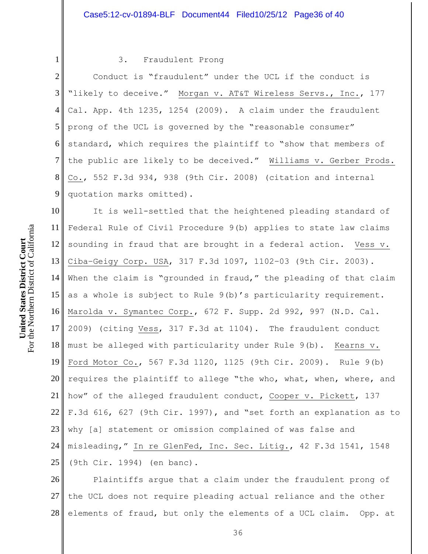For the Northern District of California For the Northern District of California United States District Court **United States District Court**

1

## 3. Fraudulent Prong

2 3 4 5 6 7 8 9 Conduct is "fraudulent" under the UCL if the conduct is "likely to deceive." Morgan v. AT&T Wireless Servs., Inc., 177 Cal. App. 4th 1235, 1254 (2009). A claim under the fraudulent prong of the UCL is governed by the "reasonable consumer" standard, which requires the plaintiff to "show that members of the public are likely to be deceived." Williams v. Gerber Prods. Co., 552 F.3d 934, 938 (9th Cir. 2008) (citation and internal quotation marks omitted).

10 11 12 13  $14<sup>||</sup>$ 15 16 17 18 19 20<sup> $\parallel$ </sup> 21 l 22 23 24 25 It is well-settled that the heightened pleading standard of Federal Rule of Civil Procedure 9(b) applies to state law claims sounding in fraud that are brought in a federal action. Vess v. Ciba–Geigy Corp. USA, 317 F.3d 1097, 1102–03 (9th Cir. 2003). When the claim is "grounded in fraud," the pleading of that claim as a whole is subject to Rule 9(b)'s particularity requirement. Marolda v. Symantec Corp., 672 F. Supp. 2d 992, 997 (N.D. Cal. 2009) (citing Vess, 317 F.3d at 1104). The fraudulent conduct must be alleged with particularity under Rule 9(b). Kearns v. Ford Motor Co., 567 F.3d 1120, 1125 (9th Cir. 2009). Rule 9(b) requires the plaintiff to allege "the who, what, when, where, and how" of the alleged fraudulent conduct, Cooper v. Pickett, 137 F.3d 616, 627 (9th Cir. 1997), and "set forth an explanation as to why [a] statement or omission complained of was false and misleading," In re GlenFed, Inc. Sec. Litig., 42 F.3d 1541, 1548 (9th Cir. 1994) (en banc).

26 27 28 Plaintiffs argue that a claim under the fraudulent prong of the UCL does not require pleading actual reliance and the other elements of fraud, but only the elements of a UCL claim. Opp. at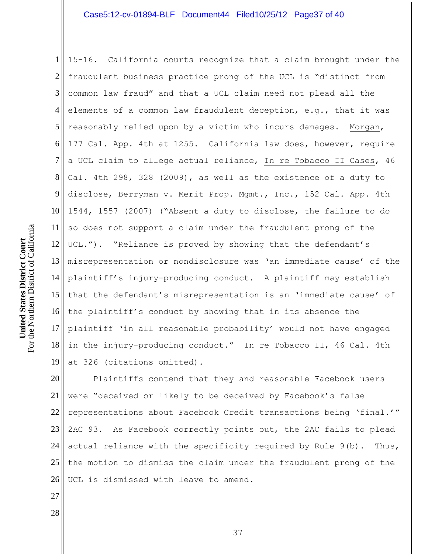1 2 3 4 5 6 7 8 9 10 11 12 13 14 15 16 17 18 19 15-16. California courts recognize that a claim brought under the fraudulent business practice prong of the UCL is "distinct from common law fraud" and that a UCL claim need not plead all the elements of a common law fraudulent deception, e.g., that it was reasonably relied upon by a victim who incurs damages. Morgan, 177 Cal. App. 4th at 1255. California law does, however, require a UCL claim to allege actual reliance, In re Tobacco II Cases, 46 Cal. 4th 298, 328 (2009), as well as the existence of a duty to disclose, Berryman v. Merit Prop. Mgmt., Inc., 152 Cal. App. 4th 1544, 1557 (2007) ("Absent a duty to disclose, the failure to do so does not support a claim under the fraudulent prong of the UCL."). "Reliance is proved by showing that the defendant's misrepresentation or nondisclosure was 'an immediate cause' of the plaintiff's injury-producing conduct. A plaintiff may establish that the defendant's misrepresentation is an 'immediate cause' of the plaintiff's conduct by showing that in its absence the plaintiff 'in all reasonable probability' would not have engaged in the injury-producing conduct." In re Tobacco II, 46 Cal. 4th at 326 (citations omitted).

20 21 22 23 24 25 26 Plaintiffs contend that they and reasonable Facebook users were "deceived or likely to be deceived by Facebook's false representations about Facebook Credit transactions being 'final.'" 2AC 93. As Facebook correctly points out, the 2AC fails to plead actual reliance with the specificity required by Rule 9(b). Thus, the motion to dismiss the claim under the fraudulent prong of the UCL is dismissed with leave to amend.

For the Northern District of California For the Northern District of California United States District Court **United States District Court**

28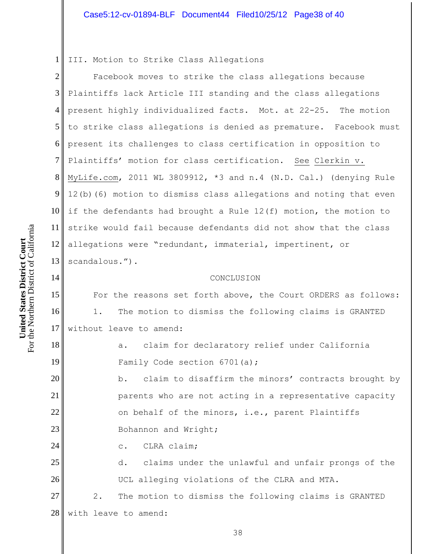1 III. Motion to Strike Class Allegations

2 3 4 5 6 7 8 9 10 11 12 13 Facebook moves to strike the class allegations because Plaintiffs lack Article III standing and the class allegations present highly individualized facts. Mot. at 22-25. The motion to strike class allegations is denied as premature. Facebook must present its challenges to class certification in opposition to Plaintiffs' motion for class certification. See Clerkin v. MyLife.com, 2011 WL 3809912, \*3 and n.4 (N.D. Cal.) (denying Rule 12(b)(6) motion to dismiss class allegations and noting that even if the defendants had brought a Rule 12(f) motion, the motion to strike would fail because defendants did not show that the class allegations were "redundant, immaterial, impertinent, or scandalous.").

#### CONCLUSION

For the reasons set forth above, the Court ORDERS as follows: 1. The motion to dismiss the following claims is GRANTED without leave to amend:

> a. claim for declaratory relief under California Family Code section 6701(a);

b. claim to disaffirm the minors' contracts brought by parents who are not acting in a representative capacity on behalf of the minors, i.e., parent Plaintiffs Bohannon and Wright;

c. CLRA claim;

25 26 27 d. claims under the unlawful and unfair prongs of the UCL alleging violations of the CLRA and MTA. 2. The motion to dismiss the following claims is GRANTED

28 with leave to amend:

For the Northern District of California For the Northern District of California United States District Court **United States District Court**

14

15

16

17

18

19

20

21

22

23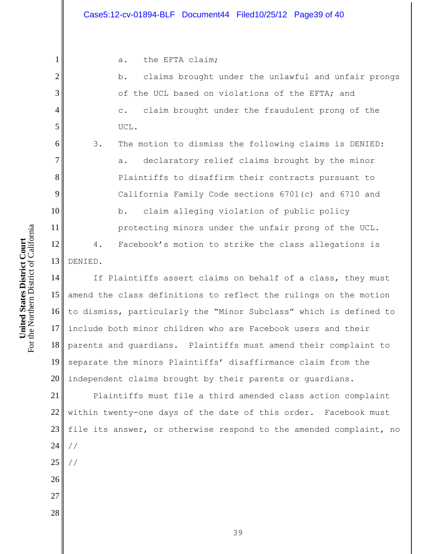a. the EFTA claim;

b. claims brought under the unlawful and unfair prongs of the UCL based on violations of the EFTA; and c. claim brought under the fraudulent prong of the UCL.

3. The motion to dismiss the following claims is DENIED: a. declaratory relief claims brought by the minor Plaintiffs to disaffirm their contracts pursuant to California Family Code sections 6701(c) and 6710 and b. claim alleging violation of public policy protecting minors under the unfair prong of the UCL. 4. Facebook's motion to strike the class allegations is

13 DENIED.

1

2

3

4

5

6

7

8

9

10

11

12

28

14 15 16 17 18 19 20 If Plaintiffs assert claims on behalf of a class, they must amend the class definitions to reflect the rulings on the motion to dismiss, particularly the "Minor Subclass" which is defined to include both minor children who are Facebook users and their parents and guardians. Plaintiffs must amend their complaint to separate the minors Plaintiffs' disaffirmance claim from the independent claims brought by their parents or guardians.

21 22 23 24 25 26 27 Plaintiffs must file a third amended class action complaint within twenty-one days of the date of this order. Facebook must file its answer, or otherwise respond to the amended complaint, no // //

For the Northern District of California For the Northern District of California United States District Court **United States District Court**